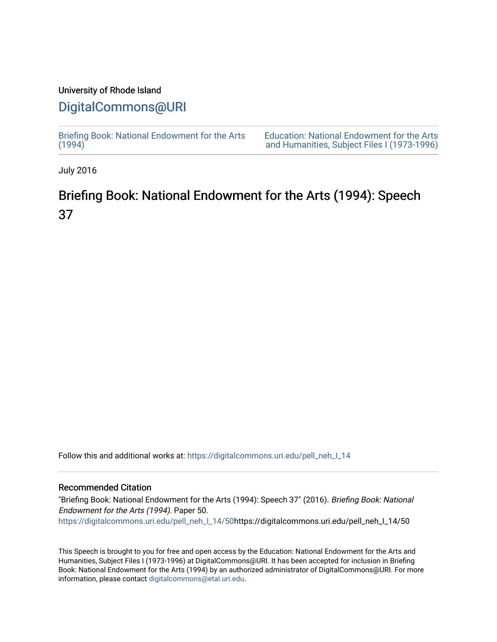### University of Rhode Island

## [DigitalCommons@URI](https://digitalcommons.uri.edu/)

[Briefing Book: National Endowment for the Arts](https://digitalcommons.uri.edu/pell_neh_I_14)  $(1994)$ 

[Education: National Endowment for the Arts](https://digitalcommons.uri.edu/pell_neh_I)  [and Humanities, Subject Files I \(1973-1996\)](https://digitalcommons.uri.edu/pell_neh_I) 

July 2016

# Briefing Book: National Endowment for the Arts (1994): Speech 37

Follow this and additional works at: [https://digitalcommons.uri.edu/pell\\_neh\\_I\\_14](https://digitalcommons.uri.edu/pell_neh_I_14?utm_source=digitalcommons.uri.edu%2Fpell_neh_I_14%2F50&utm_medium=PDF&utm_campaign=PDFCoverPages) 

### Recommended Citation

"Briefing Book: National Endowment for the Arts (1994): Speech 37" (2016). Briefing Book: National Endowment for the Arts (1994). Paper 50. [https://digitalcommons.uri.edu/pell\\_neh\\_I\\_14/50h](https://digitalcommons.uri.edu/pell_neh_I_14/50?utm_source=digitalcommons.uri.edu%2Fpell_neh_I_14%2F50&utm_medium=PDF&utm_campaign=PDFCoverPages)ttps://digitalcommons.uri.edu/pell\_neh\_I\_14/50

This Speech is brought to you for free and open access by the Education: National Endowment for the Arts and Humanities, Subject Files I (1973-1996) at DigitalCommons@URI. It has been accepted for inclusion in Briefing Book: National Endowment for the Arts (1994) by an authorized administrator of DigitalCommons@URI. For more information, please contact [digitalcommons@etal.uri.edu.](mailto:digitalcommons@etal.uri.edu)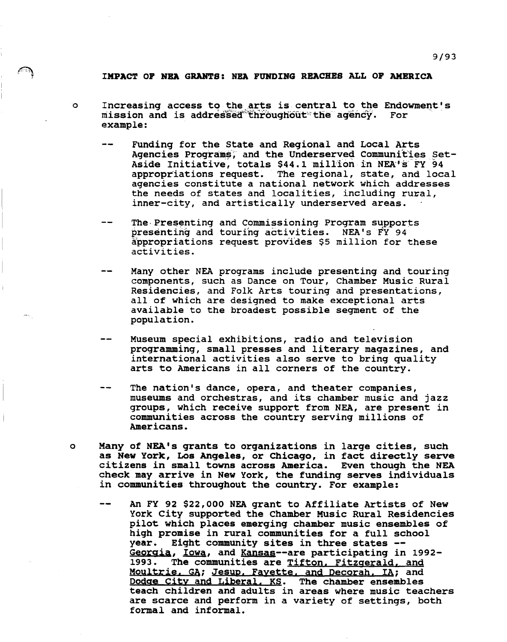#### IMPACT OF NBA GRANTS: NBA FUNDING REACHES ALL OF AMERICA

- 0 Increasing access to the arts is central to the Endowment's<br>mission and is addressed throughout the agency. For  $m$ ission and is addressed throughout the agency. example:
	- Funding for the State and Regional and Local Arts  $-$ Agencies Programs, and the Underserved Communities Set-Aside Initiative, totals \$44.1 million in NEA's FY 94 appropriations request. The regional, state, and local agencies constitute a national network which addresses the needs of states and localities, including  $rural$ , inner-city, and artistically underserved areas.
	- The Presenting and Commissioning Program supports presenting and touring activities. NEA's FY 94 appropriations request prov'fdes \$5 million for these activities.
	- Many other NEA programs include presenting and touring components, such as Dance on Tour, Chamber Music Rural Residencies, and Folk Arts touring and presentations, all of which are designed to make exceptional arts available to the broadest possible segment of the population.
	- Museum special exhibitions, radio and television programming, small presses and literary magazines, and international activities also serve to bring quality arts to Americans in all corners of the country.
	- The nation's dance, opera, and theater companies, museums and orchestras, and its chamber music and jazz groups, which receive support from NEA, are present in communities across the country serving millions of Americans.
- o Many of NEA's qrants to organizations in large cities, such as New York, Los Angeles, or Chicago, in fact directly serve citizens in small towns across America. Even though the NEA check may arrive in New York, the funding serves individuals in communities throughout the country. For example:
	- $-1$ An FY 92 \$22,000 NEA grant to Affiliate Artists of New York City supported the Chamber Music Rural Residencies pilot which places emerging chamber music ensembles of high promise in rural communities for a full school<br>year. Eight community sites in three states -year. Eight community sites in three states --<br><u>Georgia, Iowa</u>, and Kansas--are participating in 1992-1993. The communities are Tifton, Fitzgerald, and Moultrie, GA; Jesup, Fayette, and Decorah, IA; and<br>Dodge City and Liberal, KS. The chamber ensembles Dodge City and Liberal. KS. teach children and adults in areas where music teachers are scarce and perform in a variety of settings, both formal and informal.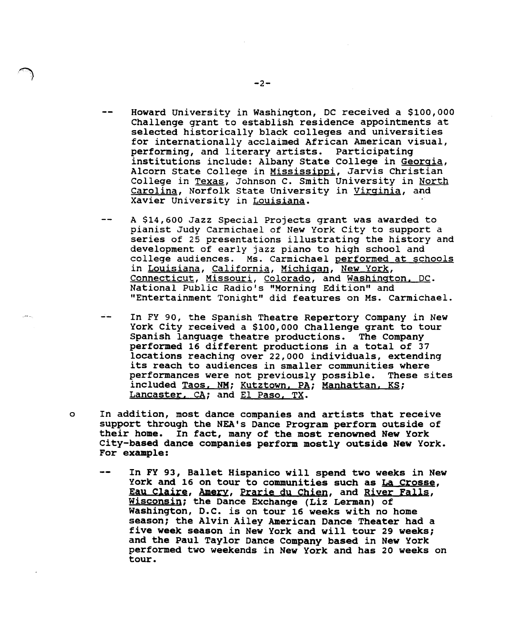- Howard University in Washington, DC received a \$100,000 Challenge grant to establish residence appointments at selected historically black colleges and universities for internationally acclaimed African American visual,<br>performing, and literary artists. Participating performing, and literary artists. institutions include: Albany State College in Georgia, Alcorn State College in Mississippi, Jarvis Christian College in Texas, Johnson c. Smith University in North Carolina, Norfolk State University in Virginia, and Xavier University in Louisiana.
- A \$14,600 Jazz Special Projects grant was awarded to pianist Judy Carmichael of New York City to support a series of 25 presentations illustrating the history and development of early jazz piano to high school and college audiences. Ms. Carmichael performed at schools in Louisiana, California, Michigan, New York, Connecticut, Missouri, Colorado, and Washington. DC. National Public Radio's "Morning Edition" and "Entertainment Tonight" did features on Ms. Carmichael.
- In FY 90, the Spanish Theatre Repertory Company in New York City received a \$100,000 Challenge grant to tour Spanish language theatre productions. The Company performed 16 different productions in a total of 37 locations reaching over 22,000 individuals, extending its reach to audiences in smaller communities where performances were not previously possible. These sites included Taos. NM; Kutztown. PA; Manhattan. KS; Lancaster, CA; and El Paso, TX.
- o In addition, most dance companies and artists that receive support through the NEA's Dance Program perform outside of their home. In fact, many of the most renowned New York City-based dance companies perform mostly outside New York. For example:
	- In FY 93, Ballet Hispanico will spend two weeks in New York and 16 on tour to communities such as La Crosse, Eau Claire, Amerv, Prarie du Chien, and River Falls, Wisconsin; the Dance Exchange (Liz Lerman) of Washington, D.C. is on tour 16 weeks with no home season; the Alvin Ailey American Dance Theater had a five week season in New York and will tour 29 weeks; and the Paul Taylor Dance Company based in New York performed two weekends in New York and has 20 weeks on tour.

 $\rightarrow$   $-2$ -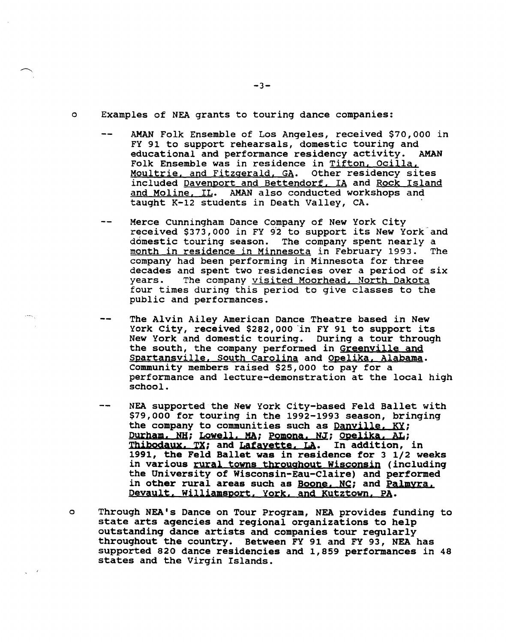- AMAN Folk Ensemble of Los Angeles, received \$70,000 in FY 91 to support rehearsals, domestic touring and educational and performance residency activity. AMAN educational and performance residency activity. Folk Ensemble was in residence in Tifton, Ocilla,<br>Moultrie, and Fitzgerald, GA. Other residency sites Moultrie, and Fitzgerald, GA. included Davenport and Bettendorf, IA and Rock Island and Moline. IL. AMAN also conducted workshops and taught K-12 students in Death Valley, CA.
- Merce Cunningham Dance Company of New York city received \$373,000 in FY 92 to support its New York and domestic touring season. The company spent nearly a<br>month in residence in Minnesota in February 1993. The month in residence in Minnesota in February 1993. company had been performing in Minnesota for three decades and spent two residencies over a period of six<br>vears. The company visited Moorhead, North Dakota The company visited Moorhead, North Dakota four times during this period to give classes to the public and performances.
- The Alvin Ailey American Dance Theatre based in New York City, received \$282,000 in FY 91 to support its New York and domestic touring. During a tour through the south, the company performed in Greenville and Spartansville, South Carolina and Opelika, Alabama. Community members raised \$25,000 to pay for a performance and lecture-demonstration at the local high school.
- NEA supported the New York City-based Feld Ballet with \$79,000 for touring in the 1992-1993 season, bringing the company to communities such as Danville, KY; Durham. NH; Lowell. MA; Pomona. NJ; Opelika. AL;<br>Thibodaux. TX; and Lafayette. LA. In addition, in Thibodaux. TX; and Lafayette. LA. 1991, the Feld Ballet was in residence for 3 1/2 weeks in various rural towns throughout Wisconsin (including the University of Wisconsin-Eau-Claire) and performed in other rural areas such as Boone, NC; and Palmyra. Oeyault. Williamsport. York. and Kutztown. PA.
- o Through NEA's Dance on Tour Program, NEA provides funding to state arts aqencies and regional organizations to help outstandinq dance artists and companies tour reqularly throughout the country. Between FY 91 and FY 93, NEA has supported 820 dance residencies and 1,859 performances in 48 states and the Virgin Islands.

 $-3-$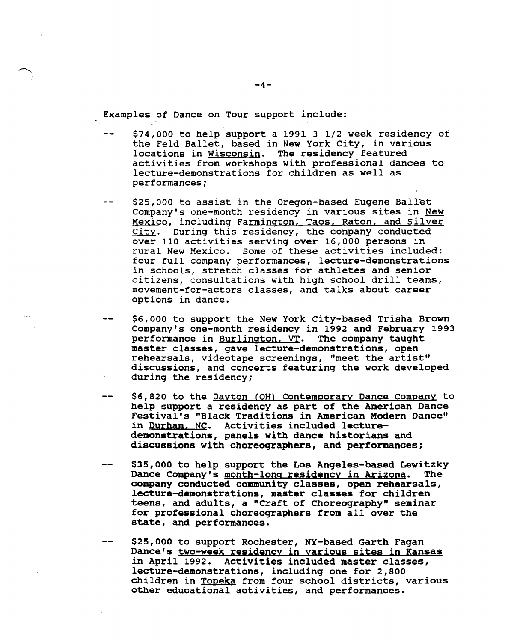Examples of Dance on Tour support include:

- \$74,000 to help support a 1991 3 1/2 week residency of  $\frac{1}{2}$ the Feld Ballet, based in New York City, in various locations in Wisconsin. The residency featured activities from workshops with professional dances to lecture-demonstrations for children as well as performances;
- \$25,000 to assist in the Oregon-based Eugene Ballet Company's one-month residency in various sites in New Jompany 5 one monon restability in various sites in <u>hem</u><br>Mexico, including <u>Farmington, Taos, Raton, and Silver</u> **City.** During this residency, the company conducted over 110 activities serving over 16,000 persons in rural New Mexico. some of these activities included: four full company performances, lecture-demonstrations in schools, stretch classes for athletes and senior citizens, consultations with high school drill teams, movement-for-actors classes, and talks about career options in dance.
- \$6,000 to support the New York City-based Trisha Brown Company's one-month residency in 1992 and February 1993<br>performance in <u>Burlington, VT</u>. The company taught performance in Burlington, VT. master classes, gave lecture-demonstrations, open rehearsals, videotape screenings, "meet the artist" discussions, and concerts featuring the work developed during the residency;
- \$6,820 to the Dayton (OH) Contemporary Dance Company to help support a residency as part of the American Dance Festival's "Black Traditions in American Modern Dance" in Durham. NC. Activities included lecturedemonstrations, panels with dance historians and discussions with choreoqraphers, and performances;
- \$35,000 to help support the Los Angeles-based Lewitzky Dance Company's month-long residency in Arizona. The company conducted community classes, open rehearsals, lecture-demonstrations, master classes for children teens, and adults, a "Craft of Choreography" seminar for professional choreographers from all over the state, and performances.
- \$25,000 to support Rochester, NY-based Garth Fagan Dance's two-week residency in various sites in Kansas in April 1992. Activities included master classes, lecture-demonstrations, including one for 2,800 children in Topeka from four school districts, various other educational activities, and performances.